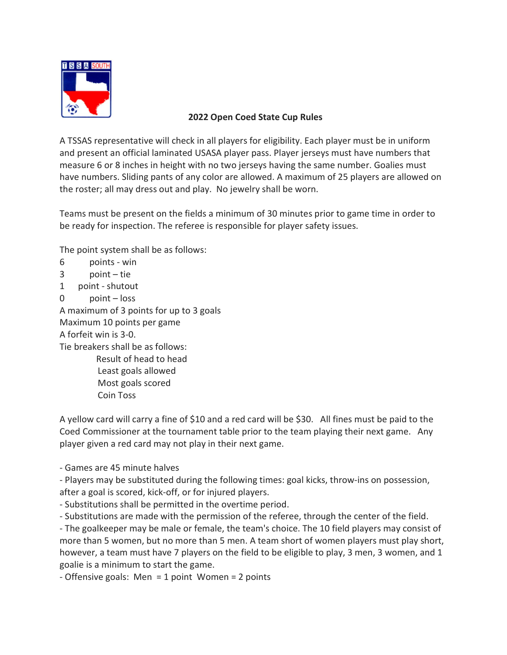

## 2022 Open Coed State Cup Rules

A TSSAS representative will check in all players for eligibility. Each player must be in uniform and present an official laminated USASA player pass. Player jerseys must have numbers that measure 6 or 8 inches in height with no two jerseys having the same number. Goalies must have numbers. Sliding pants of any color are allowed. A maximum of 25 players are allowed on the roster; all may dress out and play. No jewelry shall be worn.

Teams must be present on the fields a minimum of 30 minutes prior to game time in order to be ready for inspection. The referee is responsible for player safety issues.

The point system shall be as follows:

- 6 points win
- 3 point tie
- 1 point shutout
- 0 point loss

A maximum of 3 points for up to 3 goals Maximum 10 points per game A forfeit win is 3-0. Tie breakers shall be as follows: Result of head to head Least goals allowed Most goals scored

Coin Toss

A yellow card will carry a fine of \$10 and a red card will be \$30. All fines must be paid to the Coed Commissioner at the tournament table prior to the team playing their next game. Any player given a red card may not play in their next game.

- Games are 45 minute halves

- Players may be substituted during the following times: goal kicks, throw-ins on possession, after a goal is scored, kick-off, or for injured players.

- Substitutions shall be permitted in the overtime period.

- Substitutions are made with the permission of the referee, through the center of the field.

- The goalkeeper may be male or female, the team's choice. The 10 field players may consist of more than 5 women, but no more than 5 men. A team short of women players must play short, however, a team must have 7 players on the field to be eligible to play, 3 men, 3 women, and 1 goalie is a minimum to start the game.

- Offensive goals: Men = 1 point Women = 2 points